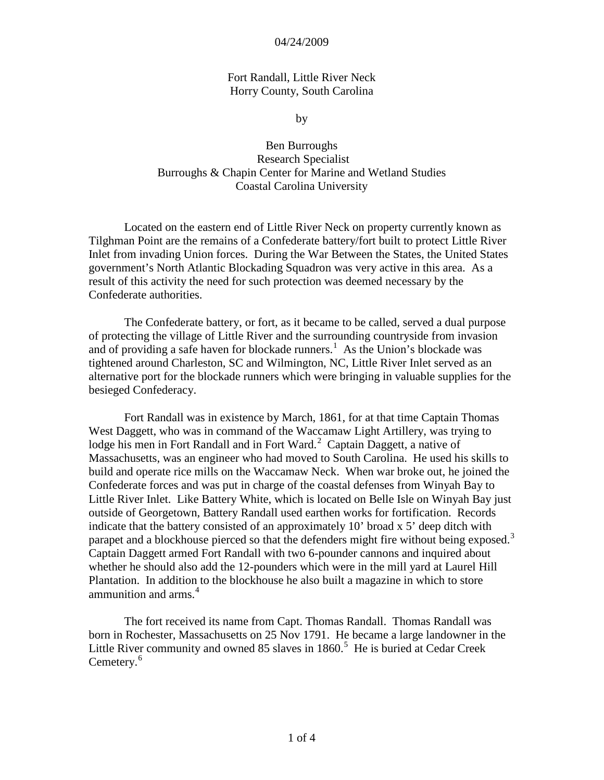# Fort Randall, Little River Neck Horry County, South Carolina

by

Ben Burroughs Research Specialist Burroughs & Chapin Center for Marine and Wetland Studies Coastal Carolina University

Located on the eastern end of Little River Neck on property currently known as Tilghman Point are the remains of a Confederate battery/fort built to protect Little River Inlet from invading Union forces. During the War Between the States, the United States government's North Atlantic Blockading Squadron was very active in this area. As a result of this activity the need for such protection was deemed necessary by the Confederate authorities.

The Confederate battery, or fort, as it became to be called, served a dual purpose of protecting the village of Little River and the surrounding countryside from invasion and of providing a safe haven for blockade runners.<sup>[1](#page-3-0)</sup> As the Union's blockade was tightened around Charleston, SC and Wilmington, NC, Little River Inlet served as an alternative port for the blockade runners which were bringing in valuable supplies for the besieged Confederacy.

Fort Randall was in existence by March, 1861, for at that time Captain Thomas West Daggett, who was in command of the Waccamaw Light Artillery, was trying to lodge his men in Fort Randall and in Fort Ward.<sup>[2](#page-3-1)</sup> Captain Daggett, a native of Massachusetts, was an engineer who had moved to South Carolina. He used his skills to build and operate rice mills on the Waccamaw Neck. When war broke out, he joined the Confederate forces and was put in charge of the coastal defenses from Winyah Bay to Little River Inlet. Like Battery White, which is located on Belle Isle on Winyah Bay just outside of Georgetown, Battery Randall used earthen works for fortification. Records indicate that the battery consisted of an approximately 10' broad x 5' deep ditch with parapet and a blockhouse pierced so that the defenders might fire without being exposed.<sup>[3](#page-3-2)</sup> Captain Daggett armed Fort Randall with two 6-pounder cannons and inquired about whether he should also add the 12-pounders which were in the mill yard at Laurel Hill Plantation. In addition to the blockhouse he also built a magazine in which to store ammunition and arms.<sup>[4](#page-3-3)</sup>

The fort received its name from Capt. Thomas Randall. Thomas Randall was born in Rochester, Massachusetts on 25 Nov 1791. He became a large landowner in the Little River community and owned 8[5](#page-3-4) slaves in  $1860$ .<sup>5</sup> He is buried at Cedar Creek Cemetery.<sup>[6](#page-3-5)</sup>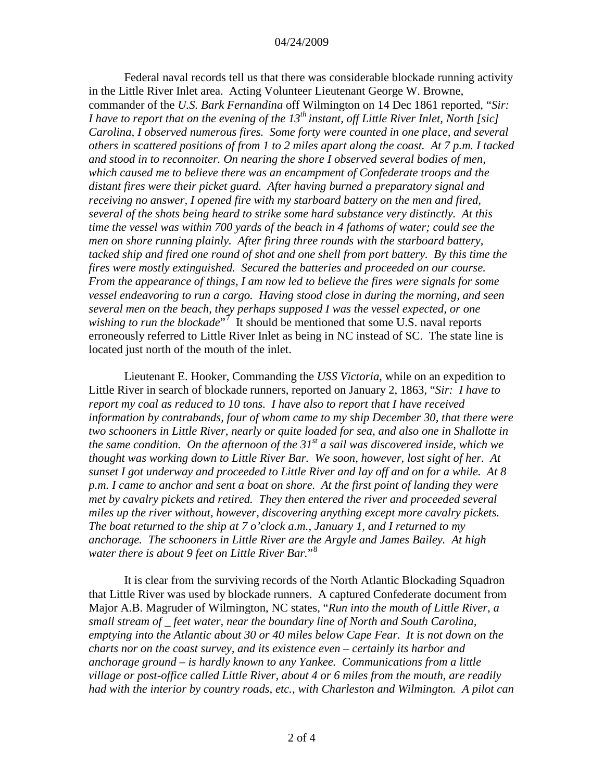Federal naval records tell us that there was considerable blockade running activity in the Little River Inlet area. Acting Volunteer Lieutenant George W. Browne, commander of the *U.S. Bark Fernandina* off Wilmington on 14 Dec 1861 reported, "*Sir: I have to report that on the evening of the 13th instant, off Little River Inlet, North [sic] Carolina, I observed numerous fires. Some forty were counted in one place, and several others in scattered positions of from 1 to 2 miles apart along the coast. At 7 p.m. I tacked and stood in to reconnoiter. On nearing the shore I observed several bodies of men, which caused me to believe there was an encampment of Confederate troops and the distant fires were their picket guard. After having burned a preparatory signal and receiving no answer, I opened fire with my starboard battery on the men and fired, several of the shots being heard to strike some hard substance very distinctly. At this time the vessel was within 700 yards of the beach in 4 fathoms of water; could see the men on shore running plainly. After firing three rounds with the starboard battery, tacked ship and fired one round of shot and one shell from port battery. By this time the fires were mostly extinguished. Secured the batteries and proceeded on our course. From the appearance of things, I am now led to believe the fires were signals for some vessel endeavoring to run a cargo. Having stood close in during the morning, and seen several men on the beach, they perhaps supposed I was the vessel expected, or one*  wishing to run the blockade<sup>"[7](#page-3-6)</sup> It should be mentioned that some U.S. naval reports erroneously referred to Little River Inlet as being in NC instead of SC. The state line is located just north of the mouth of the inlet.

Lieutenant E. Hooker, Commanding the *USS Victoria*, while on an expedition to Little River in search of blockade runners, reported on January 2, 1863, "*Sir: I have to report my coal as reduced to 10 tons. I have also to report that I have received information by contrabands, four of whom came to my ship December 30, that there were two schooners in Little River, nearly or quite loaded for sea, and also one in Shallotte in the same condition. On the afternoon of the 31st a sail was discovered inside, which we thought was working down to Little River Bar. We soon, however, lost sight of her. At sunset I got underway and proceeded to Little River and lay off and on for a while. At 8 p.m. I came to anchor and sent a boat on shore. At the first point of landing they were met by cavalry pickets and retired. They then entered the river and proceeded several miles up the river without, however, discovering anything except more cavalry pickets. The boat returned to the ship at 7 o'clock a.m., January 1, and I returned to my anchorage. The schooners in Little River are the Argyle and James Bailey. At high water there is about 9 feet on Little River Bar.*"[8](#page-3-7)

It is clear from the surviving records of the North Atlantic Blockading Squadron that Little River was used by blockade runners. A captured Confederate document from Major A.B. Magruder of Wilmington, NC states, "*Run into the mouth of Little River, a small stream of \_ feet water, near the boundary line of North and South Carolina, emptying into the Atlantic about 30 or 40 miles below Cape Fear. It is not down on the charts nor on the coast survey, and its existence even – certainly its harbor and anchorage ground – is hardly known to any Yankee. Communications from a little village or post-office called Little River, about 4 or 6 miles from the mouth, are readily had with the interior by country roads, etc., with Charleston and Wilmington. A pilot can*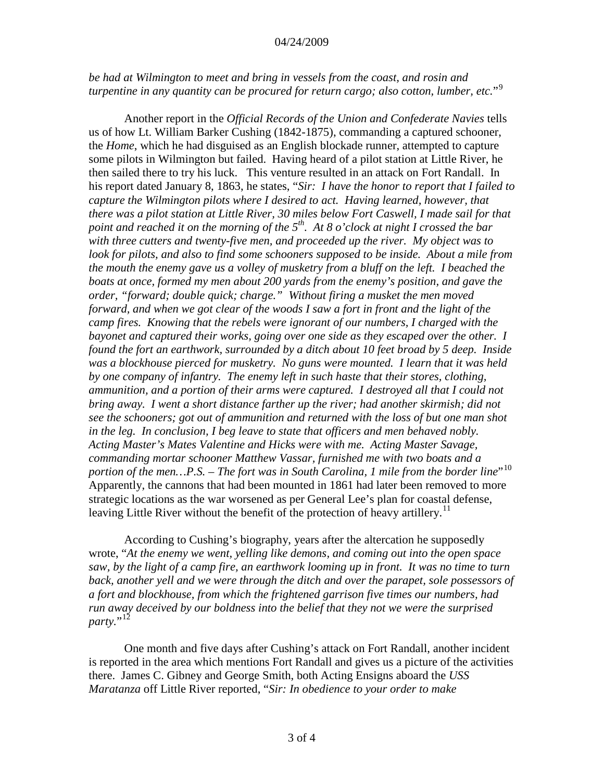*be had at Wilmington to meet and bring in vessels from the coast, and rosin and turpentine in any quantity can be procured for return cargo; also cotton, lumber, etc.*"[9](#page-3-8)

Another report in the *Official Records of the Union and Confederate Navies* tells us of how Lt. William Barker Cushing (1842-1875), commanding a captured schooner, the *Home*, which he had disguised as an English blockade runner, attempted to capture some pilots in Wilmington but failed. Having heard of a pilot station at Little River, he then sailed there to try his luck. This venture resulted in an attack on Fort Randall. In his report dated January 8, 1863, he states, "*Sir: I have the honor to report that I failed to capture the Wilmington pilots where I desired to act. Having learned, however, that there was a pilot station at Little River, 30 miles below Fort Caswell, I made sail for that point and reached it on the morning of the 5th. At 8 o'clock at night I crossed the bar with three cutters and twenty-five men, and proceeded up the river. My object was to*  look for pilots, and also to find some schooners supposed to be inside. About a mile from *the mouth the enemy gave us a volley of musketry from a bluff on the left. I beached the boats at once, formed my men about 200 yards from the enemy's position, and gave the order, "forward; double quick; charge." Without firing a musket the men moved forward, and when we got clear of the woods I saw a fort in front and the light of the camp fires. Knowing that the rebels were ignorant of our numbers, I charged with the bayonet and captured their works, going over one side as they escaped over the other. I found the fort an earthwork, surrounded by a ditch about 10 feet broad by 5 deep. Inside was a blockhouse pierced for musketry. No guns were mounted. I learn that it was held by one company of infantry. The enemy left in such haste that their stores, clothing, ammunition, and a portion of their arms were captured. I destroyed all that I could not bring away. I went a short distance farther up the river; had another skirmish; did not see the schooners; got out of ammunition and returned with the loss of but one man shot in the leg. In conclusion, I beg leave to state that officers and men behaved nobly. Acting Master's Mates Valentine and Hicks were with me. Acting Master Savage, commanding mortar schooner Matthew Vassar, furnished me with two boats and a portion of the men…P.S. – The fort was in South Carolina, 1 mile from the border line*"[10](#page-3-9) Apparently, the cannons that had been mounted in 1861 had later been removed to more strategic locations as the war worsened as per General Lee's plan for coastal defense, leaving Little River without the benefit of the protection of heavy artillery.<sup>[11](#page-3-10)</sup>

According to Cushing's biography, years after the altercation he supposedly wrote, "*At the enemy we went, yelling like demons, and coming out into the open space saw, by the light of a camp fire, an earthwork looming up in front. It was no time to turn back, another yell and we were through the ditch and over the parapet, sole possessors of a fort and blockhouse, from which the frightened garrison five times our numbers, had run away deceived by our boldness into the belief that they not we were the surprised party.*"<sup>[12](#page-3-11)</sup>

One month and five days after Cushing's attack on Fort Randall, another incident is reported in the area which mentions Fort Randall and gives us a picture of the activities there. James C. Gibney and George Smith, both Acting Ensigns aboard the *USS Maratanza* off Little River reported, "*Sir: In obedience to your order to make*